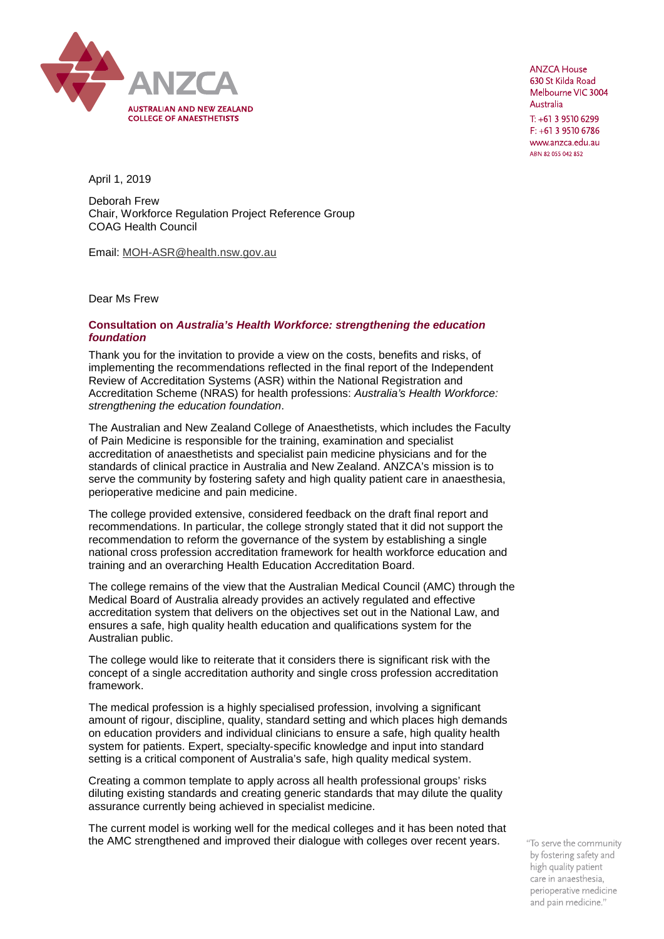

**ANZCA House** 630 St Kilda Road Melbourne VIC 3004 Australia  $T: +61395106299$  $F: +61395106786$ www.anzca.edu.au ABN 82 055 042 852

April 1, 2019

Deborah Frew Chair, Workforce Regulation Project Reference Group COAG Health Council

Email: [MOH-ASR@health.nsw.gov.au](mailto:MOH-ASR@health.nsw.gov.au)

Dear Ms Frew

## **Consultation on** *Australia's Health Workforce: strengthening the education foundation*

Thank you for the invitation to provide a view on the costs, benefits and risks, of implementing the recommendations reflected in the final report of the Independent Review of Accreditation Systems (ASR) within the National Registration and Accreditation Scheme (NRAS) for health professions: *Australia's Health Workforce: strengthening the education foundation*.

The Australian and New Zealand College of Anaesthetists, which includes the Faculty of Pain Medicine is responsible for the training, examination and specialist accreditation of anaesthetists and specialist pain medicine physicians and for the standards of clinical practice in Australia and New Zealand. ANZCA's mission is to serve the community by fostering safety and high quality patient care in anaesthesia, perioperative medicine and pain medicine.

The college provided extensive, considered feedback on the draft final report and recommendations. In particular, the college strongly stated that it did not support the recommendation to reform the governance of the system by establishing a single national cross profession accreditation framework for health workforce education and training and an overarching Health Education Accreditation Board.

The college remains of the view that the Australian Medical Council (AMC) through the Medical Board of Australia already provides an actively regulated and effective accreditation system that delivers on the objectives set out in the National Law, and ensures a safe, high quality health education and qualifications system for the Australian public.

The college would like to reiterate that it considers there is significant risk with the concept of a single accreditation authority and single cross profession accreditation framework.

The medical profession is a highly specialised profession, involving a significant amount of rigour, discipline, quality, standard setting and which places high demands on education providers and individual clinicians to ensure a safe, high quality health system for patients. Expert, specialty-specific knowledge and input into standard setting is a critical component of Australia's safe, high quality medical system.

Creating a common template to apply across all health professional groups' risks diluting existing standards and creating generic standards that may dilute the quality assurance currently being achieved in specialist medicine.

The current model is working well for the medical colleges and it has been noted that the AMC strengthened and improved their dialogue with colleges over recent years.

"To serve the community by fostering safety and high quality patient care in anaesthesia, perioperative medicine and pain medicine."